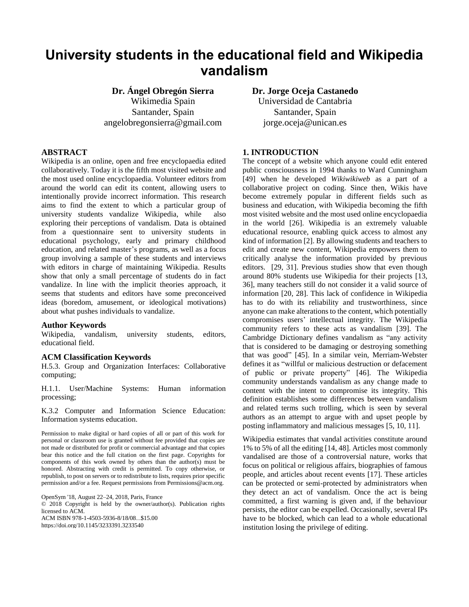# **University students in the educational field and Wikipedia vandalism**

**Dr. Ángel Obregón Sierra** Wikimedia Spain Santander, Spain angelobregonsierra@gmail.com

# **ABSTRACT**

Wikipedia is an online, open and free encyclopaedia edited collaboratively. Today it is the fifth most visited website and the most used online encyclopaedia. Volunteer editors from around the world can edit its content, allowing users to intentionally provide incorrect information. This research aims to find the extent to which a particular group of university students vandalize Wikipedia, while also exploring their perceptions of vandalism. Data is obtained from a questionnaire sent to university students in educational psychology, early and primary childhood education, and related master's programs, as well as a focus group involving a sample of these students and interviews with editors in charge of maintaining Wikipedia. Results show that only a small percentage of students do in fact vandalize. In line with the implicit theories approach, it seems that students and editors have some preconceived ideas (boredom, amusement, or ideological motivations) about what pushes individuals to vandalize.

### **Author Keywords**

Wikipedia, vandalism, university students, editors, educational field.

#### **ACM Classification Keywords**

H.5.3. Group and Organization Interfaces: Collaborative computing;

H.1.1. User/Machine Systems: Human information processing;

K.3.2 Computer and Information Science Education: Information systems education.

Permission to make digital or hard copies of all or part of this work for personal or classroom use is granted without fee provided that copies are not made or distributed for profit or commercial advantage and that copies bear this notice and the full citation on the first page. Copyrights for components of this work owned by others than the author(s) must be honored. Abstracting with credit is permitted. To copy otherwise, or republish, to post on servers or to redistribute to lists, requires prior specific permission and/or a fee. Request permissions from Permissions@acm.org.

OpenSym '18, August 22–24, 2018, Paris, France © 2018 Copyright is held by the owner/author(s). Publication rights licensed to ACM. ACM ISBN 978-1-4503-5936-8/18/08…\$15.00 https://doi.org/10.1145/3233391.3233540

**Dr. Jorge Oceja Castanedo**

Universidad de Cantabria Santander, Spain jorge.oceja@unican.es

## **1. INTRODUCTION**

The concept of a website which anyone could edit entered public consciousness in 1994 thanks to Ward Cunningham [49] when he developed *Wikiwikiweb* as a part of a collaborative project on coding. Since then, Wikis have become extremely popular in different fields such as business and education, with Wikipedia becoming the fifth most visited website and the most used online encyclopaedia in the world [26]. Wikipedia is an extremely valuable educational resource, enabling quick access to almost any kind of information [2]. By allowing students and teachers to edit and create new content, Wikipedia empowers them to critically analyse the information provided by previous editors. [29, 31]. Previous studies show that even though around 80% students use Wikipedia for their projects [13, 36], many teachers still do not consider it a valid source of information [20, 28]. This lack of confidence in Wikipedia has to do with its reliability and trustworthiness, since anyone can make alterations to the content, which potentially compromises users' intellectual integrity. The Wikipedia community refers to these acts as vandalism [39]. The Cambridge Dictionary defines vandalism as "any activity that is considered to be damaging or destroying something that was good" [45]. In a similar vein, Merriam-Webster defines it as "willful or malicious destruction or defacement of public or private property" [46]. The Wikipedia community understands vandalism as any change made to content with the intent to compromise its integrity. This definition establishes some differences between vandalism and related terms such trolling, which is seen by several authors as an attempt to argue with and upset people by posting inflammatory and malicious messages [5, 10, 11].

Wikipedia estimates that vandal activities constitute around 1% to 5% of all the editing [14, 48]. Articles most commonly vandalised are those of a controversial nature, works that focus on political or religious affairs, biographies of famous people, and articles about recent events [17]. These articles can be protected or semi-protected by administrators when they detect an act of vandalism. Once the act is being committed, a first warning is given and, if the behaviour persists, the editor can be expelled. Occasionally, several IPs have to be blocked, which can lead to a whole educational institution losing the privilege of editing.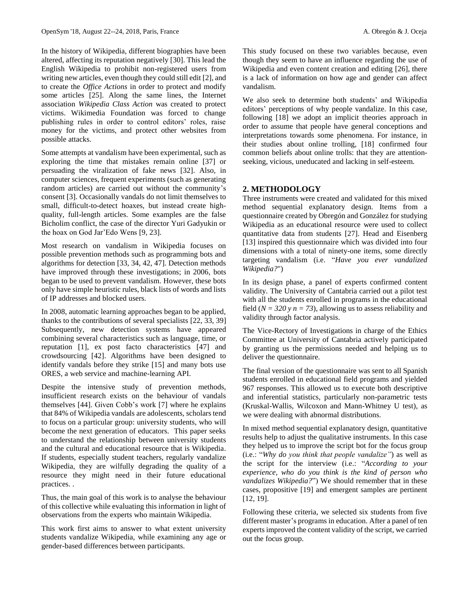In the history of Wikipedia, different biographies have been altered, affecting its reputation negatively [30]. This lead the English Wikipedia to prohibit non-registered users from writing new articles, even though they could still edit [2], and to create the *Office Actions* in order to protect and modify some articles [25]. Along the same lines, the Internet association *Wikipedia Class Action* was created to protect victims. Wikimedia Foundation was forced to change publishing rules in order to control editors' roles, raise money for the victims, and protect other websites from possible attacks.

Some attempts at vandalism have been experimental, such as exploring the time that mistakes remain online [37] or persuading the viralization of fake news [32]. Also, in computer sciences, frequent experiments (such as generating random articles) are carried out without the community's consent [3]. Occasionally vandals do not limit themselves to small, difficult-to-detect hoaxes, but instead create highquality, full-length articles. Some examples are the false Bicholim conflict, the case of the director Yuri Gadyukin or the hoax on God Jar'Edo Wens [9, 23].

Most research on vandalism in Wikipedia focuses on possible prevention methods such as programming bots and algorithms for detection [33, 34, 42, 47]. Detection methods have improved through these investigations; in 2006, bots began to be used to prevent vandalism. However, these bots only have simple heuristic rules, black lists of words and lists of IP addresses and blocked users.

In 2008, automatic learning approaches began to be applied, thanks to the contributions of several specialists [22, 33, 39] Subsequently, new detection systems have appeared combining several characteristics such as language, time, or reputation [1], ex post facto characteristics [47] and crowdsourcing [42]. Algorithms have been designed to identify vandals before they strike [15] and many bots use ORES, a web service and machine-learning API.

Despite the intensive study of prevention methods, insufficient research exists on the behaviour of vandals themselves [44]. Given Cobb's work [7] where he explains that 84% of Wikipedia vandals are adolescents, scholars tend to focus on a particular group: university students, who will become the next generation of educators. This paper seeks to understand the relationship between university students and the cultural and educational resource that is Wikipedia. If students, especially student teachers, regularly vandalize Wikipedia, they are wilfully degrading the quality of a resource they might need in their future educational practices. .

Thus, the main goal of this work is to analyse the behaviour of this collective while evaluating this information in light of observations from the experts who maintain Wikipedia.

This work first aims to answer to what extent university students vandalize Wikipedia, while examining any age or gender-based differences between participants.

This study focused on these two variables because, even though they seem to have an influence regarding the use of Wikipedia and even content creation and editing [26], there is a lack of information on how age and gender can affect vandalism.

We also seek to determine both students' and Wikipedia editors' perceptions of why people vandalize. In this case, following [18] we adopt an implicit theories approach in order to assume that people have general conceptions and interpretations towards some phenomena. For instance, in their studies about online trolling, [18] confirmed four common beliefs about online trolls: that they are attentionseeking, vicious, uneducated and lacking in self-esteem.

# **2. METHODOLOGY**

Three instruments were created and validated for this mixed method sequential explanatory design. Items from a questionnaire created by Obregón and González for studying Wikipedia as an educational resource were used to collect quantitative data from students [27]. Head and Eisenberg [13] inspired this questionnaire which was divided into four dimensions with a total of ninety-one items, some directly targeting vandalism (i.e. "*Have you ever vandalized Wikipedia?*")

In its design phase, a panel of experts confirmed content validity. The University of Cantabria carried out a pilot test with all the students enrolled in programs in the educational field  $(N = 320 \text{ y } n = 73)$ , allowing us to assess reliability and validity through factor analysis.

The Vice-Rectory of Investigations in charge of the Ethics Committee at University of Cantabria actively participated by granting us the permissions needed and helping us to deliver the questionnaire.

The final version of the questionnaire was sent to all Spanish students enrolled in educational field programs and yielded 967 responses. This allowed us to execute both descriptive and inferential statistics, particularly non-parametric tests (Kruskal-Wallis, Wilcoxon and Mann-Whitney U test), as we were dealing with abnormal distributions.

In mixed method sequential explanatory design, quantitative results help to adjust the qualitative instruments. In this case they helped us to improve the script bot for the focus group (i.e.: "*Why do you think that people vandalize"*) as well as the script for the interview (i.e.: "*According to your experience, who do you think is the kind of person who vandalizes Wikipedia?*") We should remember that in these cases, propositive [19] and emergent samples are pertinent [12, 19].

Following these criteria, we selected six students from five different master's programs in education. After a panel of ten expertsimproved the content validity of the script, we carried out the focus group.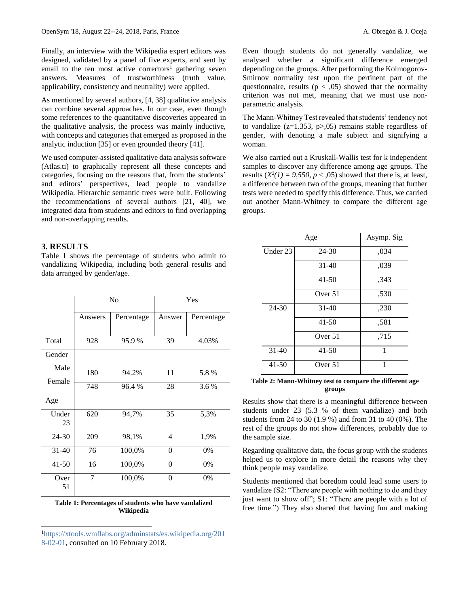Finally, an interview with the Wikipedia expert editors was designed, validated by a panel of five experts, and sent by email to the ten most active correctors<sup>1</sup> gathering seven answers. Measures of trustworthiness (truth value, applicability, consistency and neutrality) were applied.

As mentioned by several authors, [4, 38] qualitative analysis can combine several approaches. In our case, even though some references to the quantitative discoveries appeared in the qualitative analysis, the process was mainly inductive, with concepts and categories that emerged as proposed in the analytic induction [35] or even grounded theory [41].

We used computer-assisted qualitative data analysis software (Atlas.ti) to graphically represent all these concepts and categories, focusing on the reasons that, from the students' and editors' perspectives, lead people to vandalize Wikipedia. Hierarchic semantic trees were built. Following the recommendations of several authors [21, 40], we integrated data from students and editors to find overlapping and non-overlapping results.

# **3. RESULTS**

 $\overline{a}$ 

Table 1 shows the percentage of students who admit to vandalizing Wikipedia, including both general results and data arranged by gender/age.

|                | No      |            | Yes            |            |
|----------------|---------|------------|----------------|------------|
|                | Answers | Percentage | Answer         | Percentage |
| Total          | 928     | 95.9%      | 39             | 4.03%      |
| Gender         |         |            |                |            |
| Male<br>Female | 180     | 94.2%      | 11             | 5.8%       |
|                | 748     | 96.4 %     | 28             | 3.6 %      |
| Age            |         |            |                |            |
| Under<br>23    | 620     | 94,7%      | 35             | 5,3%       |
| 24-30          | 209     | 98,1%      | 4              | 1,9%       |
| $31 - 40$      | 76      | 100,0%     | $\overline{0}$ | 0%         |
| $41 - 50$      | 16      | 100,0%     | $\theta$       | 0%         |
| Over<br>51     | 7       | 100,0%     | $\overline{0}$ | 0%         |

**Table 1: Percentages of students who have vandalized Wikipedia**

<sup>1</sup>[https://xtools.wmflabs.org/adminstats/es.wikipedia.org/201](https://xtools.wmflabs.org/adminstats/es.wikipedia.org/2018-02-01) [8-02-01,](https://xtools.wmflabs.org/adminstats/es.wikipedia.org/2018-02-01) consulted on 10 February 2018.

Even though students do not generally vandalize, we analysed whether a significant difference emerged depending on the groups. After performing the Kolmogorov-Smirnov normality test upon the pertinent part of the questionnaire, results ( $p < 0.05$ ) showed that the normality criterion was not met, meaning that we must use nonparametric analysis.

The Mann-Whitney Test revealed that students' tendency not to vandalize  $(z=1.353, p>0.05)$  remains stable regardless of gender, with denoting a male subject and signifying a woman.

We also carried out a Kruskall-Wallis test for k independent samples to discover any difference among age groups. The results  $(X^2(1) = 9,550, p < 0,05)$  showed that there is, at least, a difference between two of the groups, meaning that further tests were needed to specify this difference. Thus, we carried out another Mann-Whitney to compare the different age groups.

|           | Asymp. Sig |      |
|-----------|------------|------|
| Under 23  | 24-30      | .034 |
|           | $31 - 40$  | ,039 |
|           | 41-50      | .343 |
|           | Over 51    | .530 |
| $24 - 30$ | $31-40$    | ,230 |
|           | 41-50      | .581 |
|           | Over $51$  | ,715 |
| $31 - 40$ | $41 - 50$  | 1    |
| $41 - 50$ | Over $51$  | 1    |

### **Table 2: Mann-Whitney test to compare the different age groups**

Results show that there is a meaningful difference between students under 23 (5.3 % of them vandalize) and both students from 24 to 30 (1.9 %) and from 31 to 40 (0%). The rest of the groups do not show differences, probably due to the sample size.

Regarding qualitative data, the focus group with the students helped us to explore in more detail the reasons why they think people may vandalize.

Students mentioned that boredom could lead some users to vandalize (S2: "There are people with nothing to do and they just want to show off"; S1: "There are people with a lot of free time.") They also shared that having fun and making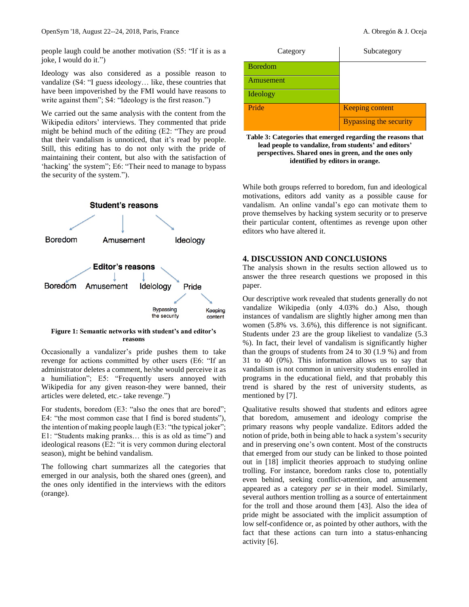people laugh could be another motivation (S5: "If it is as a joke, I would do it.")

Ideology was also considered as a possible reason to vandalize (S4: "I guess ideology… like, these countries that have been impoverished by the FMI would have reasons to write against them"; S4: "Ideology is the first reason.")

We carried out the same analysis with the content from the Wikipedia editors' interviews. They commented that pride might be behind much of the editing (E2: "They are proud that their vandalism is unnoticed, that it's read by people. Still, this editing has to do not only with the pride of maintaining their content, but also with the satisfaction of 'hacking' the system"; E6: "Their need to manage to bypass the security of the system.").



**Figure 1: Semantic networks with student's and editor's reasons** 

Occasionally a vandalizer's pride pushes them to take revenge for actions committed by other users (E6: "If an administrator deletes a comment, he/she would perceive it as a humiliation"; E5: "Frequently users annoyed with Wikipedia for any given reason-they were banned, their articles were deleted, etc.- take revenge.")

For students, boredom (E3: "also the ones that are bored"; E4: "the most common case that I find is bored students"), the intention of making people laugh (E3: "the typical joker"; E1: "Students making pranks… this is as old as time") and ideological reasons (E2: "it is very common during electoral season), might be behind vandalism.

The following chart summarizes all the categories that emerged in our analysis, both the shared ones (green), and the ones only identified in the interviews with the editors (orange).





While both groups referred to boredom, fun and ideological motivations, editors add vanity as a possible cause for vandalism. An online vandal's ego can motivate them to prove themselves by hacking system security or to preserve their particular content, oftentimes as revenge upon other editors who have altered it.

## **4. DISCUSSION AND CONCLUSIONS**

The analysis shown in the results section allowed us to answer the three research questions we proposed in this paper.

Our descriptive work revealed that students generally do not vandalize Wikipedia (only 4.03% do.) Also, though instances of vandalism are slightly higher among men than women (5.8% vs. 3.6%), this difference is not significant. Students under 23 are the group likeliest to vandalize (5.3 %). In fact, their level of vandalism is significantly higher than the groups of students from 24 to 30 (1.9 %) and from 31 to 40 (0%). This information allows us to say that vandalism is not common in university students enrolled in programs in the educational field, and that probably this trend is shared by the rest of university students, as mentioned by [7].

Qualitative results showed that students and editors agree that boredom, amusement and ideology comprise the primary reasons why people vandalize. Editors added the notion of pride, both in being able to hack a system's security and in preserving one's own content. Most of the constructs that emerged from our study can be linked to those pointed out in [18] implicit theories approach to studying online trolling. For instance, boredom ranks close to, potentially even behind, seeking conflict-attention, and amusement appeared as a category *per se* in their model. Similarly, several authors mention trolling as a source of entertainment for the troll and those around them [43]. Also the idea of pride might be associated with the implicit assumption of low self-confidence or, as pointed by other authors, with the fact that these actions can turn into a status-enhancing activity [6].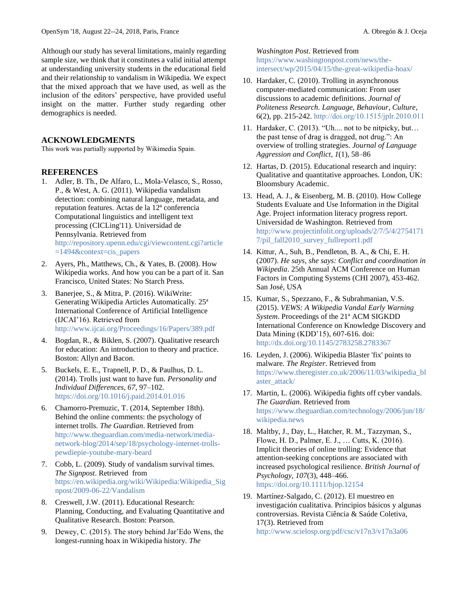Although our study has several limitations, mainly regarding sample size, we think that it constitutes a valid initial attempt at understanding university students in the educational field and their relationship to vandalism in Wikipedia. We expect that the mixed approach that we have used, as well as the inclusion of the editors' perspective, have provided useful insight on the matter. Further study regarding other demographics is needed.

## **ACKNOWLEDGMENTS**

This work was partially supported by Wikimedia Spain.

# **REFERENCES**

- 1. Adler, B. Th., De Alfaro, L., Mola-Velasco, S., Rosso, P., & West, A. G. (2011). Wikipedia vandalism detection: combining natural language, metadata, and reputation features. Actas de la 12ª conferencia Computational linguistics and intelligent text processing (CICLing'11). Universidad de Pennsylvania. Retrieved from [http://repository.upenn.edu/cgi/viewcontent.cgi?article](http://repository.upenn.edu/cgi/viewcontent.cgi?article=1494&context=cis_papers) [=1494&context=cis\\_papers](http://repository.upenn.edu/cgi/viewcontent.cgi?article=1494&context=cis_papers)
- 2. Ayers, Ph., Matthews, Ch., & Yates, B. (2008). How Wikipedia works. And how you can be a part of it. San Francisco, United States: No Starch Press.
- 3. Banerjee, S., & Mitra, P. (2016). WikiWrite: Generating Wikipedia Articles Automatically. 25ª International Conference of Artificial Intelligence (IJCAI'16). Retrieved from <http://www.ijcai.org/Proceedings/16/Papers/389.pdf>
- 4. Bogdan, R., & Biklen, S. (2007). Qualitative research for education: An introduction to theory and practice. Boston: Allyn and Bacon.
- 5. Buckels, E. E., Trapnell, P. D., & Paulhus, D. L. (2014). Trolls just want to have fun. *Personality and Individual Differences*, *67*, 97–102. <https://doi.org/10.1016/j.paid.2014.01.016>
- 6. Chamorro-Premuzic, T. (2014, September 18th). Behind the online comments: the psychology of internet trolls. *The Guardian*. Retrieved from [http://www.theguardian.com/media-network/media](http://www.theguardian.com/media-network/media-network-blog/2014/sep/18/psychology-internet-trolls-pewdiepie-youtube-mary-beard)[network-blog/2014/sep/18/psychology-internet-trolls](http://www.theguardian.com/media-network/media-network-blog/2014/sep/18/psychology-internet-trolls-pewdiepie-youtube-mary-beard)[pewdiepie-youtube-mary-beard](http://www.theguardian.com/media-network/media-network-blog/2014/sep/18/psychology-internet-trolls-pewdiepie-youtube-mary-beard)
- 7. Cobb, L. (2009). Study of vandalism survival times. *The Signpost*. Retrieved from [https://en.wikipedia.org/wiki/Wikipedia:Wikipedia\\_Sig](https://en.wikipedia.org/wiki/Wikipedia:Wikipedia_Signpost/2009-06-22/Vandalism) [npost/2009-06-22/Vandalism](https://en.wikipedia.org/wiki/Wikipedia:Wikipedia_Signpost/2009-06-22/Vandalism)
- 8. Creswell, J.W. (2011). Educational Research: Planning, Conducting, and Evaluating Quantitative and Qualitative Research. Boston: Pearson.
- 9. Dewey, C. (2015). The story behind Jar'Edo Wens, the longest-running hoax in Wikipedia history. *The*

## *Washington Post*. Retrieved from [https://www.washingtonpost.com/news/the](https://www.washingtonpost.com/news/the-intersect/wp/2015/04/15/the-great-wikipedia-hoax/)[intersect/wp/2015/04/15/the-great-wikipedia-hoax/](https://www.washingtonpost.com/news/the-intersect/wp/2015/04/15/the-great-wikipedia-hoax/)

- 10. Hardaker, C. (2010). Trolling in asynchronous computer-mediated communication: From user discussions to academic definitions. *Journal of Politeness Research. Language, Behaviour, Culture*, 6(2), pp. 215-242. <http://doi.org/10.1515/jplr.2010.011>
- 11. Hardaker, C. (2013). "Uh.... not to be nitpicky, but… the past tense of drag is dragged, not drug.": An overview of trolling strategies. *Journal of Language Aggression and Conflict*, *1*(1), 58–86
- 12. Hartas, D. (2015). Educational research and inquiry: Qualitative and quantitative approaches. London, UK: Bloomsbury Academic.
- 13. Head, A. J., & Eisenberg, M. B. (2010). How College Students Evaluate and Use Information in the Digital Age. Project information literacy progress report. Universidad de Washington. Retrieved from [http://www.projectinfolit.org/uploads/2/7/5/4/2754171](http://www.projectinfolit.org/uploads/2/7/5/4/27541717/pil_fall2010_survey_fullreport1.pdf) [7/pil\\_fall2010\\_survey\\_fullreport1.pdf](http://www.projectinfolit.org/uploads/2/7/5/4/27541717/pil_fall2010_survey_fullreport1.pdf)
- 14. Kittur, A., Suh, B., Pendleton, B. A., & Chi, E. H. (2007). *He says, she says: Conflict and coordination in Wikipedia*. 25th Annual ACM Conference on Human Factors in Computing Systems (CHI 2007), 453-462. San José, USA
- 15. Kumar, S., Spezzano, F., & Subrahmanian, V.S. (2015). *VEWS: A Wikipedia Vandal Early Warning System*. Proceedings of the 21ª ACM SIGKDD International Conference on Knowledge Discovery and Data Mining (KDD'15), 607-616. doi: <http://dx.doi.org/10.1145/2783258.2783367>
- 16. Leyden, J. (2006). Wikipedia Blaster 'fix' points to malware. *The Register*. Retrieved from [https://www.theregister.co.uk/2006/11/03/wikipedia\\_bl](https://www.theregister.co.uk/2006/11/03/wikipedia_blaster_attack/) [aster\\_attack/](https://www.theregister.co.uk/2006/11/03/wikipedia_blaster_attack/)
- 17. Martin, L. (2006). Wikipedia fights off cyber vandals. *The Guardian*. Retrieved from [https://www.theguardian.com/technology/2006/jun/18/](https://www.theguardian.com/technology/2006/jun/18/wikipedia.news) [wikipedia.news](https://www.theguardian.com/technology/2006/jun/18/wikipedia.news)
- 18. Maltby, J., Day, L., Hatcher, R. M., Tazzyman, S., Flowe, H. D., Palmer, E. J., … Cutts, K. (2016). Implicit theories of online trolling: Evidence that attention-seeking conceptions are associated with increased psychological resilience. *British Journal of Psychology*, *107*(3), 448–466. <https://doi.org/10.1111/bjop.12154>
- 19. Martínez-Salgado, C. (2012). El muestreo en investigación cualitativa. Principios básicos y algunas controversias. Revista Ciência & Saúde Coletiva, 17(3). Retrieved from <http://www.scielosp.org/pdf/csc/v17n3/v17n3a06>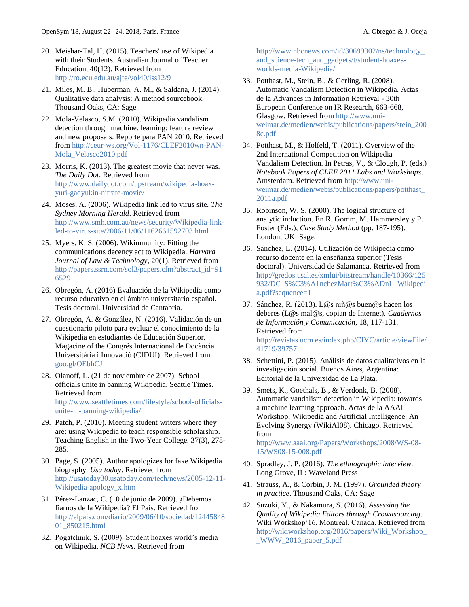- 20. Meishar-Tal, H. (2015). Teachers' use of Wikipedia with their Students. Australian Journal of Teacher Education, 40(12). Retrieved from <http://ro.ecu.edu.au/ajte/vol40/iss12/9>
- 21. Miles, M. B., Huberman, A. M., & Saldana, J. (2014). Qualitative data analysis: A method sourcebook. Thousand Oaks, CA: Sage.
- 22. Mola-Velasco, S.M. (2010). Wikipedia vandalism detection through machine. learning: feature review and new proposals. Reporte para PAN 2010. Retrieved from [http://ceur-ws.org/Vol-1176/CLEF2010wn-PAN-](http://ceur-ws.org/Vol-1176/CLEF2010wn-PAN-Mola_Velasco2010.pdf)[Mola\\_Velasco2010.pdf](http://ceur-ws.org/Vol-1176/CLEF2010wn-PAN-Mola_Velasco2010.pdf)
- 23. Morris, K. (2013). The greatest movie that never was. *The Daily Dot*. Retrieved from [http://www.dailydot.com/upstream/wikipedia-hoax](http://www.dailydot.com/upstream/wikipedia-hoax-yuri-gadyukin-nitrate-movie/)[yuri-gadyukin-nitrate-movie/](http://www.dailydot.com/upstream/wikipedia-hoax-yuri-gadyukin-nitrate-movie/)
- 24. Moses, A. (2006). Wikipedia link led to virus site. *The Sydney Morning Herald*. Retrieved from [http://www.smh.com.au/news/security/Wikipedia-link](http://www.smh.com.au/news/security/Wikipedia-link-led-to-virus-site/2006/11/06/1162661592703.html)[led-to-virus-site/2006/11/06/1162661592703.html](http://www.smh.com.au/news/security/Wikipedia-link-led-to-virus-site/2006/11/06/1162661592703.html)
- 25. Myers, K. S. (2006). Wikimmunity: Fitting the communications decency act to Wikipedia. *Harvard Journal of Law & Technology*, 20(1). Retrieved from [http://papers.ssrn.com/sol3/papers.cfm?abstract\\_id=91](http://papers.ssrn.com/sol3/papers.cfm?abstract_id=916529) [6529](http://papers.ssrn.com/sol3/papers.cfm?abstract_id=916529)
- 26. Obregón, A. (2016) Evaluación de la Wikipedia como recurso educativo en el ámbito universitario español. Tesis doctoral. Universidad de Cantabria.
- 27. Obregón, A. & González, N. (2016). Validación de un cuestionario piloto para evaluar el conocimiento de la Wikipedia en estudiantes de Educación Superior. Magacine of the Congrés Internacional de Docència Universitària i Innovació (CIDUI). Retrieved from [goo.gl/OEbhCJ](file:///C:/Users/jorgeoceja/Downloads/goo.gl/OEbhCJ)
- 28. Olanoff, L. (21 de noviembre de 2007). School officials unite in banning Wikipedia. Seattle Times. Retrieved from [http://www.seattletimes.com/lifestyle/school-officials](http://www.seattletimes.com/lifestyle/school-officials-unite-in-banning-wikipedia/)[unite-in-banning-wikipedia/](http://www.seattletimes.com/lifestyle/school-officials-unite-in-banning-wikipedia/)
- 29. Patch, P. (2010). Meeting student writers where they are: using Wikipedia to teach responsible scholarship. Teaching English in the Two-Year College, 37(3), 278- 285.
- 30. Page, S. (2005). Author apologizes for fake Wikipedia biography. *Usa today*. Retrieved from [http://usatoday30.usatoday.com/tech/news/2005-12-11-](http://usatoday30.usatoday.com/tech/news/2005-12-11-Wikipedia-apology_x.htm) [Wikipedia-apology\\_x.htm](http://usatoday30.usatoday.com/tech/news/2005-12-11-Wikipedia-apology_x.htm)
- 31. Pérez-Lanzac, C. (10 de junio de 2009). ¿Debemos fiarnos de la Wikipedia? El País. Retrieved from [http://elpais.com/diario/2009/06/10/sociedad/12445848](http://elpais.com/diario/2009/06/10/sociedad/1244584801_850215.html) [01\\_850215.html](http://elpais.com/diario/2009/06/10/sociedad/1244584801_850215.html)
- 32. Pogatchnik, S. (2009). Student hoaxes world's media on Wikipedia. *NCB News*. Retrieved from

[http://www.nbcnews.com/id/30699302/ns/technology\\_](http://www.nbcnews.com/id/30699302/ns/technology_and_science-tech_and_gadgets/t/student-hoaxes-worlds-media-Wikipedia/) [and\\_science-tech\\_and\\_gadgets/t/student-hoaxes](http://www.nbcnews.com/id/30699302/ns/technology_and_science-tech_and_gadgets/t/student-hoaxes-worlds-media-Wikipedia/)[worlds-media-Wikipedia/](http://www.nbcnews.com/id/30699302/ns/technology_and_science-tech_and_gadgets/t/student-hoaxes-worlds-media-Wikipedia/)

- 33. Potthast, M., Stein, B., & Gerling, R. (2008). Automatic Vandalism Detection in Wikipedia. Actas de la Advances in Information Retrieval - 30th European Conference on IR Research, 663-668, Glasgow. Retrieved from [http://www.uni](http://www.uni-weimar.de/medien/webis/publications/papers/stein_2008c.pdf)[weimar.de/medien/webis/publications/papers/stein\\_200](http://www.uni-weimar.de/medien/webis/publications/papers/stein_2008c.pdf) [8c.pdf](http://www.uni-weimar.de/medien/webis/publications/papers/stein_2008c.pdf)
- 34. Potthast, M., & Holfeld, T. (2011). Overview of the 2nd International Competition on Wikipedia Vandalism Detection. In Petras, V., & Clough, P. (eds.) *Notebook Papers of CLEF 2011 Labs and Workshops*. Amsterdam. Retrieved from [http://www.uni](http://www.uni-weimar.de/medien/webis/publications/papers/potthast_2011a.pdf)[weimar.de/medien/webis/publications/papers/potthast\\_](http://www.uni-weimar.de/medien/webis/publications/papers/potthast_2011a.pdf) [2011a.pdf](http://www.uni-weimar.de/medien/webis/publications/papers/potthast_2011a.pdf)
- 35. Robinson, W. S. (2000). The logical structure of analytic induction. En R. Gomm, M. Hammersley y P. Foster (Eds.), *Case Study Method* (pp. 187-195). London, UK: Sage.
- 36. Sánchez, L. (2014). Utilización de Wikipedia como recurso docente en la enseñanza superior (Tesis doctoral). Universidad de Salamanca. Retrieved from [http://gredos.usal.es/xmlui/bitstream/handle/10366/125](http://gredos.usal.es/xmlui/bitstream/handle/10366/125932/DC_S%C3%A1nchezMart%C3%ADnL_Wikipedia.pdf?sequence=1) [932/DC\\_S%C3%A1nchezMart%C3%ADnL\\_Wikipedi](http://gredos.usal.es/xmlui/bitstream/handle/10366/125932/DC_S%C3%A1nchezMart%C3%ADnL_Wikipedia.pdf?sequence=1) [a.pdf?sequence=1](http://gredos.usal.es/xmlui/bitstream/handle/10366/125932/DC_S%C3%A1nchezMart%C3%ADnL_Wikipedia.pdf?sequence=1)
- 37. Sánchez, R. (2013). L@s niñ@s buen@s hacen los deberes (L@s mal@s, copian de Internet). *Cuadernos de Información y Comunicación*, 18, 117-131. Retrieved from [http://revistas.ucm.es/index.php/CIYC/article/viewFile/](http://revistas.ucm.es/index.php/CIYC/article/viewFile/41719/39757) [41719/39757](http://revistas.ucm.es/index.php/CIYC/article/viewFile/41719/39757)
- 38. Schettini, P. (2015). Análisis de datos cualitativos en la investigación social. Buenos Aires, Argentina: Editorial de la Universidad de La Plata.
- 39. Smets, K., Goethals, B., & Verdonk, B. (2008). Automatic vandalism detection in Wikipedia: towards a machine learning approach. Actas de la AAAI Workshop, Wikipedia and Artificial Intelligence: An Evolving Synergy (WikiAI08). Chicago. Retrieved from

[http://www.aaai.org/Papers/Workshops/2008/WS-08-](http://www.aaai.org/Papers/Workshops/2008/WS-08-15/WS08-15-008.pdf) [15/WS08-15-008.pdf](http://www.aaai.org/Papers/Workshops/2008/WS-08-15/WS08-15-008.pdf)

- 40. Spradley, J. P. (2016). *The ethnographic interview*. Long Grove, IL: Waveland Press
- 41. Strauss, A., & Corbin, J. M. (1997). *Grounded theory in practice*. Thousand Oaks, CA: Sage
- 42. Suzuki, Y., & Nakamura, S. (2016). *Assessing the Quality of Wikipedia Editors through Crowdsourcing*. Wiki Workshop'16. Montreal, Canada. Retrieved from [http://wikiworkshop.org/2016/papers/Wiki\\_Workshop\\_](http://wikiworkshop.org/2016/papers/Wiki_Workshop__WWW_2016_paper_5.pdf) [\\_WWW\\_2016\\_paper\\_5.pdf](http://wikiworkshop.org/2016/papers/Wiki_Workshop__WWW_2016_paper_5.pdf)